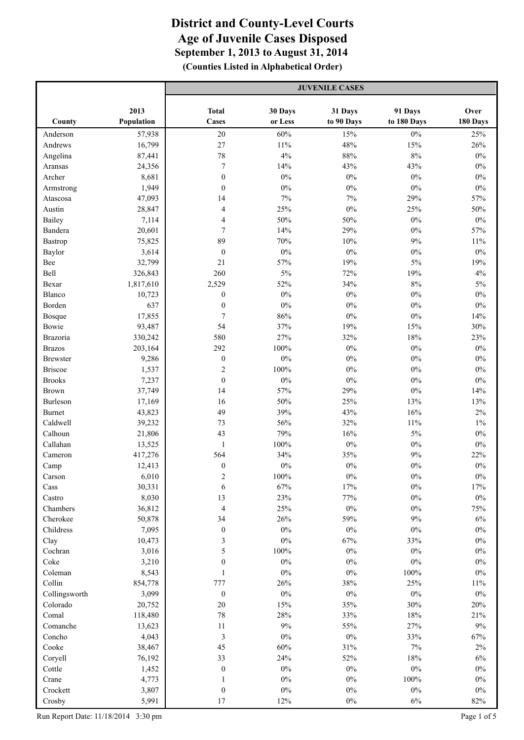|                 |            | <b>JUVENILE CASES</b>    |         |            |             |          |
|-----------------|------------|--------------------------|---------|------------|-------------|----------|
|                 | 2013       | <b>Total</b>             | 30 Days | 31 Days    | 91 Days     | Over     |
| County          | Population | <b>Cases</b>             | or Less | to 90 Days | to 180 Days | 180 Days |
| Anderson        | 57,938     | 20                       | 60%     | 15%        | $0\%$       | 25%      |
| Andrews         | 16,799     | 27                       | $11\%$  | 48%        | 15%         | 26%      |
| Angelina        | 87,441     | 78                       | 4%      | 88%        | $8\%$       | $0\%$    |
| Aransas         | 24,356     | $\boldsymbol{7}$         | 14%     | 43%        | 43%         | $0\%$    |
| Archer          | 8,681      | $\boldsymbol{0}$         | $0\%$   | $0\%$      | $0\%$       | $0\%$    |
| Armstrong       | 1,949      | $\boldsymbol{0}$         | $0\%$   | $0\%$      | $0\%$       | $0\%$    |
| Atascosa        | 47,093     | 14                       | 7%      | $7\%$      | 29%         | 57%      |
| Austin          | 28,847     | $\overline{4}$           | 25%     | 0%         | 25%         | 50%      |
| Bailey          | 7,114      | 4                        | 50%     | 50%        | $0\%$       | $0\%$    |
| Bandera         | 20,601     | $\overline{7}$           | 14%     | 29%        | $0\%$       | 57%      |
| Bastrop         | 75,825     | 89                       | 70%     | 10%        | 9%          | $11\%$   |
| Baylor          | 3,614      | $\boldsymbol{0}$         | $0\%$   | $0\%$      | $0\%$       | $0\%$    |
| Bee             | 32,799     | 21                       | 57%     | 19%        | 5%          | 19%      |
| Bell            | 326,843    | 260                      | 5%      | 72%        | 19%         | 4%       |
| Bexar           | 1,817,610  | 2,529                    | 52%     | 34%        | 8%          | $5\%$    |
| Blanco          | 10,723     | $\boldsymbol{0}$         | $0\%$   | $0\%$      | $0\%$       | $0\%$    |
| Borden          | 637        | $\boldsymbol{0}$         | $0\%$   | $0\%$      | $0\%$       | $0\%$    |
| Bosque          | 17,855     | $\boldsymbol{7}$         | 86%     | $0\%$      | $0\%$       | 14%      |
| Bowie           | 93,487     | 54                       | 37%     | 19%        | 15%         | 30%      |
| Brazoria        | 330,242    | 580                      | 27%     | 32%        | 18%         | 23%      |
| <b>Brazos</b>   | 203,164    | 292                      | $100\%$ | $0\%$      | $0\%$       | $0\%$    |
| <b>Brewster</b> | 9,286      | $\boldsymbol{0}$         | $0\%$   | $0\%$      | $0\%$       | $0\%$    |
| <b>Briscoe</b>  | 1,537      | $\boldsymbol{2}$         | 100%    | $0\%$      | $0\%$       | $0\%$    |
| <b>Brooks</b>   | 7,237      | $\boldsymbol{0}$         | $0\%$   | $0\%$      | $0\%$       | $0\%$    |
| <b>Brown</b>    | 37,749     | 14                       | 57%     | 29%        | $0\%$       | 14%      |
| Burleson        | 17,169     | 16                       | 50%     | 25%        | 13%         | 13%      |
| <b>Burnet</b>   | 43,823     | 49                       | 39%     | 43%        | 16%         | $2\%$    |
| Caldwell        | 39,232     | 73                       | 56%     | 32%        | 11%         | $1\%$    |
| Calhoun         | 21,806     | 43                       | 79%     | 16%        | $5\%$       | $0\%$    |
| Callahan        | 13,525     | $\mathbf{1}$             | $100\%$ | $0\%$      | $0\%$       | $0\%$    |
| Cameron         | 417,276    | 564                      | 34%     | 35%        | 9%          | 22%      |
| Camp            | 12,413     | $\boldsymbol{0}$         | $0\%$   | $0\%$      | $0\%$       | $0\%$    |
| Carson          | 6,010      | 2                        | 100%    | $0\%$      | $0\%$       | $0\%$    |
| Cass            | 30,331     | 6                        | 67%     | 17%        | $0\%$       | $17\%$   |
| Castro          | 8,030      | 13                       | 23%     | 77%        | $0\%$       | $0\%$    |
| Chambers        | 36,812     | $\overline{\mathcal{A}}$ | 25%     | $0\%$      | $0\%$       | 75%      |
| Cherokee        | 50,878     | 34                       | 26%     | 59%        | $9\%$       | $6\%$    |
| Childress       | 7,095      | $\boldsymbol{0}$         | $0\%$   | $0\%$      | $0\%$       | $0\%$    |
| Clay            | 10,473     | $\mathfrak{Z}$           | $0\%$   | 67%        | 33%         | $0\%$    |
| Cochran         | 3,016      | 5                        | $100\%$ | $0\%$      | $0\%$       | $0\%$    |
| Coke            | 3,210      | $\boldsymbol{0}$         | $0\%$   | $0\%$      | $0\%$       | $0\%$    |
| Coleman         | 8,543      | $\mathbf{1}$             | $0\%$   | $0\%$      | $100\%$     | $0\%$    |
| Collin          | 854,778    | 777                      | 26%     | 38%        | 25%         | $11\%$   |
| Collingsworth   | 3,099      | $\boldsymbol{0}$         | $0\%$   | $0\%$      | $0\%$       | $0\%$    |
| Colorado        | 20,752     | 20                       | 15%     | 35%        | 30%         | 20%      |
| Comal           | 118,480    | 78                       | $28\%$  | 33%        | 18%         | 21%      |
| Comanche        | 13,623     | 11                       | $9\%$   | 55%        | 27%         | $9\%$    |
| Concho          | 4,043      | $\mathfrak{Z}$           | $0\%$   | $0\%$      | 33%         | 67%      |
| Cooke           | 38,467     | 45                       | 60%     | 31%        | 7%          | $2\%$    |
| Coryell         | 76,192     | 33                       | 24%     | 52%        | 18%         | $6\%$    |
| Cottle          | 1,452      | $\boldsymbol{0}$         | $0\%$   | $0\%$      | $0\%$       | $0\%$    |
| Crane           | 4,773      | $\mathbf{1}$             | $0\%$   | $0\%$      | 100%        | $0\%$    |
| Crockett        | 3,807      | $\boldsymbol{0}$         | $0\%$   | $0\%$      | $0\%$       | $0\%$    |
| Crosby          | 5,991      | 17                       | 12%     | $0\%$      | $6\%$       | 82%      |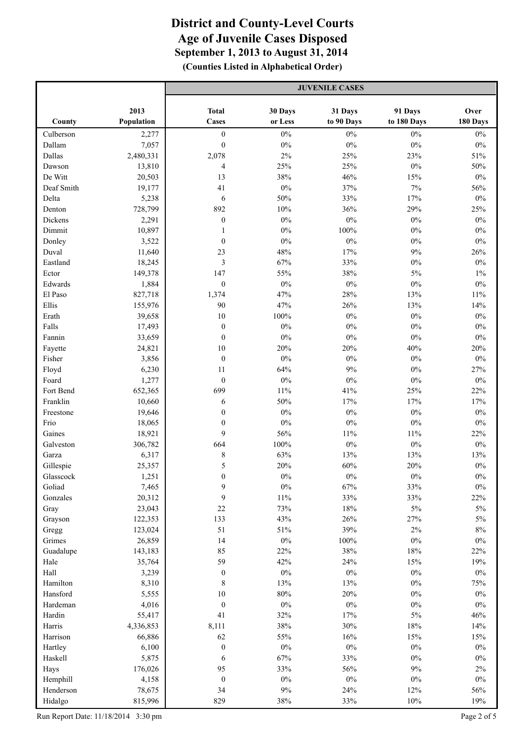|            |            | <b>JUVENILE CASES</b> |         |            |             |          |
|------------|------------|-----------------------|---------|------------|-------------|----------|
|            | 2013       | <b>Total</b>          | 30 Days | 31 Days    | 91 Days     | Over     |
| County     | Population | <b>Cases</b>          | or Less | to 90 Days | to 180 Days | 180 Days |
| Culberson  | 2,277      | $\boldsymbol{0}$      | $0\%$   | $0\%$      | $0\%$       | $0\%$    |
| Dallam     | 7,057      | $\boldsymbol{0}$      | $0\%$   | $0\%$      | $0\%$       | $0\%$    |
| Dallas     | 2,480,331  | 2,078                 | $2\%$   | 25%        | 23%         | 51%      |
| Dawson     | 13,810     | 4                     | 25%     | 25%        | $0\%$       | 50%      |
| De Witt    | 20,503     | 13                    | 38%     | 46%        | 15%         | $0\%$    |
| Deaf Smith | 19,177     | 41                    | $0\%$   | 37%        | 7%          | 56%      |
| Delta      | 5,238      | 6                     | 50%     | 33%        | 17%         | $0\%$    |
| Denton     | 728,799    | 892                   | 10%     | 36%        | 29%         | 25%      |
| Dickens    | 2,291      | $\boldsymbol{0}$      | $0\%$   | $0\%$      | $0\%$       | $0\%$    |
| Dimmit     | 10,897     | 1                     | $0\%$   | 100%       | $0\%$       | $0\%$    |
| Donley     | 3,522      | $\boldsymbol{0}$      | $0\%$   | $0\%$      | $0\%$       | $0\%$    |
| Duval      | 11,640     | 23                    | 48%     | 17%        | 9%          | 26%      |
| Eastland   | 18,245     | $\overline{3}$        | 67%     | 33%        | $0\%$       | $0\%$    |
| Ector      | 149,378    | 147                   | 55%     | 38%        | 5%          | $1\%$    |
| Edwards    | 1,884      | $\boldsymbol{0}$      | $0\%$   | $0\%$      | $0\%$       | $0\%$    |
| El Paso    | 827,718    | 1,374                 | 47%     | 28%        | 13%         | $11\%$   |
| Ellis      | 155,976    | 90                    | 47%     | 26%        | 13%         | 14%      |
| Erath      | 39,658     | 10                    | 100%    | $0\%$      | $0\%$       | $0\%$    |
| Falls      | 17,493     | $\boldsymbol{0}$      | $0\%$   | $0\%$      | $0\%$       | $0\%$    |
| Fannin     | 33,659     | $\boldsymbol{0}$      | $0\%$   | $0\%$      | $0\%$       | $0\%$    |
| Fayette    | 24,821     | 10                    | 20%     | 20%        | 40%         | 20%      |
| Fisher     | 3,856      | $\boldsymbol{0}$      | $0\%$   | $0\%$      | $0\%$       | $0\%$    |
| Floyd      | 6,230      | 11                    | 64%     | $9\%$      | $0\%$       | 27%      |
| Foard      | 1,277      | $\boldsymbol{0}$      | $0\%$   | $0\%$      | $0\%$       | $0\%$    |
| Fort Bend  | 652,365    | 699                   | $11\%$  | 41%        | 25%         | 22%      |
| Franklin   | 10,660     | 6                     | 50%     | 17%        | 17%         | 17%      |
| Freestone  | 19,646     | $\boldsymbol{0}$      | $0\%$   | $0\%$      | $0\%$       | $0\%$    |
| Frio       | 18,065     | $\boldsymbol{0}$      | $0\%$   | $0\%$      | $0\%$       | $0\%$    |
| Gaines     | 18,921     | 9                     | 56%     | 11%        | 11%         | 22%      |
| Galveston  | 306,782    | 664                   | $100\%$ | $0\%$      | $0\%$       | $0\%$    |
| Garza      | 6,317      | $\,$ $\,$             | 63%     | 13%        | 13%         | 13%      |
| Gillespie  | 25,357     | 5                     | 20%     | 60%        | 20%         | $0\%$    |
| Glasscock  | 1,251      | $\boldsymbol{0}$      | $0\%$   | $0\%$      | $0\%$       | $0\%$    |
| Goliad     | 7,465      | 9                     | $0\%$   | 67%        | 33%         | $0\%$    |
| Gonzales   | 20,312     | 9                     | $11\%$  | 33%        | 33%         | 22%      |
| Gray       | 23,043     | 22                    | 73%     | 18%        | $5\%$       | $5\%$    |
| Grayson    | 122,353    | 133                   | 43%     | 26%        | 27%         | $5\%$    |
| Gregg      | 123,024    | 51                    | 51%     | 39%        | $2\%$       | $8\%$    |
| Grimes     | 26,859     | 14                    | $0\%$   | 100%       | $0\%$       | $0\%$    |
| Guadalupe  | 143,183    | 85                    | 22%     | $38\%$     | $18\%$      | 22%      |
| Hale       | 35,764     | 59                    | 42%     | 24%        | 15%         | 19%      |
| Hall       | 3,239      | $\boldsymbol{0}$      | $0\%$   | $0\%$      | $0\%$       | $0\%$    |
| Hamilton   | 8,310      | $\,$ $\,$             | 13%     | 13%        | $0\%$       | 75%      |
| Hansford   | 5,555      | $10\,$                | $80\%$  | 20%        | $0\%$       | $0\%$    |
| Hardeman   | 4,016      | $\boldsymbol{0}$      | $0\%$   | $0\%$      | $0\%$       | $0\%$    |
| Hardin     | 55,417     | 41                    | 32%     | 17%        | $5\%$       | 46%      |
| Harris     | 4,336,853  | 8,111                 | $38\%$  | 30%        | $18\%$      | 14%      |
| Harrison   | 66,886     | 62                    | 55%     | 16%        | 15%         | 15%      |
| Hartley    | 6,100      | $\boldsymbol{0}$      | $0\%$   | $0\%$      | $0\%$       | $0\%$    |
| Haskell    | 5,875      | 6                     | 67%     | 33%        | $0\%$       | $0\%$    |
| Hays       | 176,026    | 95                    | 33%     | 56%        | $9\%$       | $2\%$    |
| Hemphill   | 4,158      | $\boldsymbol{0}$      | $0\%$   | $0\%$      | $0\%$       | $0\%$    |
| Henderson  | 78,675     | 34                    | $9\%$   | 24%        | 12%         | 56%      |
| Hidalgo    | 815,996    | 829                   | 38%     | 33%        | 10%         | 19%      |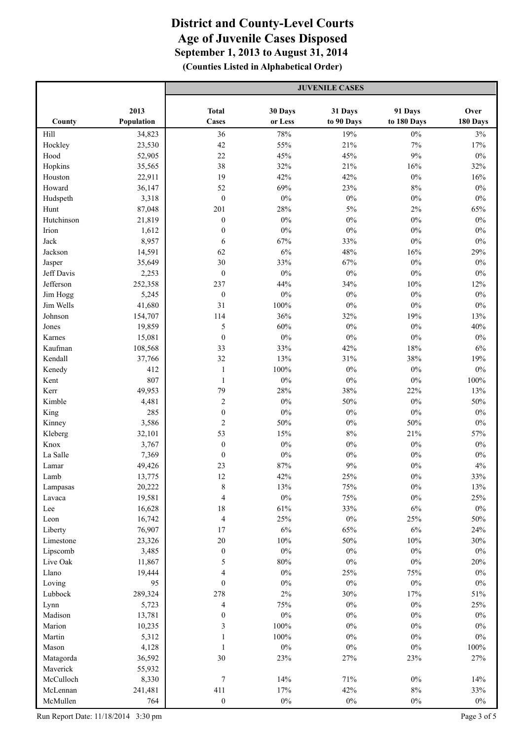|                       |                  | <b>JUVENILE CASES</b>      |                 |                       |                 |                 |
|-----------------------|------------------|----------------------------|-----------------|-----------------------|-----------------|-----------------|
|                       | 2013             | <b>Total</b>               | 30 Days         |                       | 91 Days         | Over            |
| County                | Population       | <b>Cases</b>               | or Less         | 31 Days<br>to 90 Days | to 180 Days     | 180 Days        |
| Hill                  | 34,823           | 36                         | 78%             | 19%                   | $0\%$           | $3\%$           |
| Hockley               | 23,530           | 42                         | 55%             | 21%                   | $7\%$           | 17%             |
| Hood                  | 52,905           | 22                         | 45%             | 45%                   | $9\%$           | $0\%$           |
| Hopkins               | 35,565           | 38                         | 32%             | 21%                   | 16%             | 32%             |
| Houston               | 22,911           | 19                         | 42%             | 42%                   | $0\%$           | 16%             |
| Howard                | 36,147           | 52                         | 69%             | 23%                   | 8%              | $0\%$           |
| Hudspeth              | 3,318            | $\boldsymbol{0}$           | $0\%$           | $0\%$                 | $0\%$           | $0\%$           |
| Hunt                  | 87,048           | 201                        | 28%             | 5%                    | 2%              | 65%             |
| Hutchinson            | 21,819           | $\boldsymbol{0}$           | $0\%$           | $0\%$                 | $0\%$           | $0\%$           |
| Irion                 | 1,612            | $\boldsymbol{0}$           | $0\%$           | $0\%$                 | $0\%$           | $0\%$           |
| Jack                  | 8,957            | 6                          | 67%             | 33%                   | $0\%$           | $0\%$           |
| Jackson               | 14,591           | 62                         | $6\%$           | 48%                   | 16%             | 29%             |
| Jasper                | 35,649           | 30                         | 33%             | 67%                   | $0\%$           | $0\%$           |
| Jeff Davis            | 2,253            | $\boldsymbol{0}$           | $0\%$           | $0\%$                 | $0\%$           | $0\%$           |
| Jefferson             | 252,358          | 237                        | 44%             | 34%                   | 10%             | 12%             |
| Jim Hogg              | 5,245            | $\boldsymbol{0}$           | $0\%$           | $0\%$                 | $0\%$           | $0\%$           |
| Jim Wells             | 41,680           | 31                         | 100%            | $0\%$                 | $0\%$           | $0\%$           |
| Johnson               | 154,707          | 114                        | 36%             | 32%                   | 19%             | 13%             |
| Jones                 | 19,859           | 5                          | 60%             | $0\%$                 | $0\%$           | 40%             |
| Karnes                | 15,081           | $\boldsymbol{0}$           | $0\%$           | $0\%$                 | $0\%$           | $0\%$           |
| Kaufman               | 108,568          | 33                         | 33%             | 42%                   | 18%             | $6\%$           |
| Kendall               | 37,766           | 32                         | 13%             | 31%                   | 38%             | 19%             |
| Kenedy                | 412              | $\mathbf{1}$               | $100\%$         | $0\%$                 | $0\%$           | $0\%$           |
| Kent                  | 807              | $\mathbf{1}$               | $0\%$           | $0\%$                 | $0\%$           | 100%            |
| Kerr                  | 49,953           | 79                         | 28%             | 38%                   | 22%             | 13%             |
| Kimble                | 4,481            | $\overline{c}$             | $0\%$           | 50%                   | $0\%$           | 50%             |
| King                  | 285              | $\boldsymbol{0}$           | $0\%$           | $0\%$                 | $0\%$           | $0\%$           |
| Kinney                | 3,586            | $\overline{2}$             | 50%             | $0\%$                 | 50%             | $0\%$           |
| Kleberg               | 32,101           | 53                         | 15%             | $8\%$                 | 21%             | 57%             |
| Knox                  | 3,767            | $\boldsymbol{0}$           | $0\%$           | $0\%$                 | $0\%$           | $0\%$           |
| La Salle              | 7,369            | $\boldsymbol{0}$           | $0\%$           | $0\%$                 | $0\%$           | $0\%$           |
| Lamar                 | 49,426           | 23                         | 87%             | 9%                    | $0\%$           | $4\%$           |
| Lamb                  | 13,775           | 12                         | 42%             | $25\%$                | $0\%$           | $33\%$          |
| Lampasas              | 20,222           | $\,$ $\,$                  | 13%             | 75%                   | $0\%$           | 13%             |
| Lavaca                | 19,581           | $\overline{4}$             | $0\%$           | 75%                   | $0\%$           | 25%             |
| Lee                   | 16,628           | 18                         | $61\%$          | 33%                   | $6\%$           | $0\%$           |
| Leon                  | 16,742           | $\overline{4}$             | 25%             | $0\%$                 | 25%             | $50\%$          |
| Liberty               | 76,907           | 17                         | $6\%$           | 65%                   | $6\%$           | 24%             |
| Limestone<br>Lipscomb | 23,326<br>3,485  | $20\,$<br>$\boldsymbol{0}$ | $10\%$<br>$0\%$ | $50\%$<br>$0\%$       | $10\%$<br>$0\%$ | $30\%$<br>$0\%$ |
| Live Oak              |                  | 5                          | $80\%$          | $0\%$                 | $0\%$           |                 |
| Llano                 | 11,867<br>19,444 | $\overline{4}$             | $0\%$           | 25%                   | 75%             | $20\%$<br>$0\%$ |
| Loving                | 95               | $\boldsymbol{0}$           | $0\%$           | $0\%$                 | $0\%$           | $0\%$           |
| Lubbock               | 289,324          | 278                        | $2\%$           | 30%                   | 17%             | $51\%$          |
| Lynn                  | 5,723            | $\overline{\mathcal{A}}$   | 75%             | $0\%$                 | $0\%$           | 25%             |
| Madison               | 13,781           | $\boldsymbol{0}$           | $0\%$           | $0\%$                 | $0\%$           | $0\%$           |
| Marion                | 10,235           | $\mathfrak{Z}$             | $100\%$         | $0\%$                 | $0\%$           | $0\%$           |
| Martin                | 5,312            | $\mathbf{1}$               | $100\%$         | $0\%$                 | $0\%$           | $0\%$           |
| Mason                 | 4,128            | $\mathbf{1}$               | $0\%$           | $0\%$                 | $0\%$           | $100\%$         |
| Matagorda             | 36,592           | 30                         | 23%             | 27%                   | 23%             | 27%             |
| Maverick              | 55,932           |                            |                 |                       |                 |                 |
| McCulloch             | 8,330            | $\sqrt{ }$                 | 14%             | 71%                   | $0\%$           | 14%             |
| McLennan              | 241,481          | 411                        | 17%             | 42%                   | $8\%$           | 33%             |
| McMullen              | 764              | $\boldsymbol{0}$           | $0\%$           | $0\%$                 | $0\%$           | $0\%$           |
|                       |                  |                            |                 |                       |                 |                 |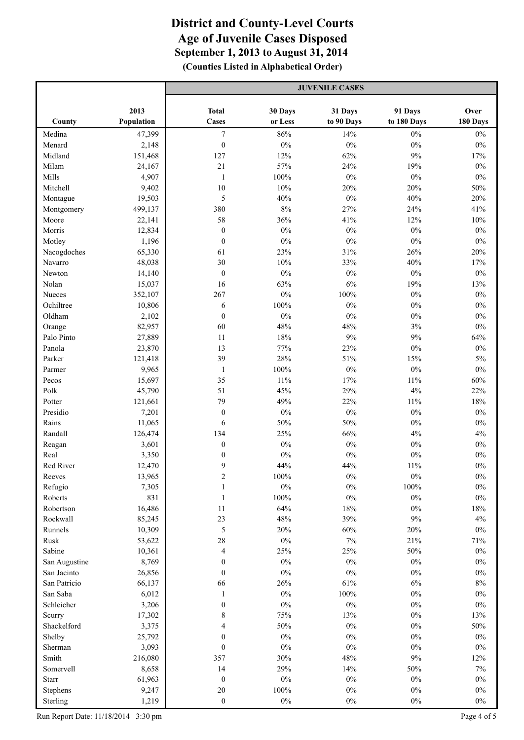|                          |                  | <b>JUVENILE CASES</b>         |              |               |                |                |
|--------------------------|------------------|-------------------------------|--------------|---------------|----------------|----------------|
|                          | 2013             | <b>Total</b>                  | 30 Days      | 31 Days       | 91 Days        | Over           |
| County                   | Population       | <b>Cases</b>                  | or Less      | to 90 Days    | to 180 Days    | 180 Days       |
| Medina                   | 47,399           | $\tau$                        | 86%          | 14%           | $0\%$          | $0\%$          |
| Menard                   | 2,148            | $\boldsymbol{0}$              | $0\%$        | $0\%$         | $0\%$          | $0\%$          |
| Midland                  | 151,468          | 127                           | 12%          | 62%           | 9%             | 17%            |
| Milam                    | 24,167           | 21                            | 57%          | 24%           | 19%            | $0\%$          |
| Mills                    | 4,907            | $\mathbf{1}$                  | 100%         | $0\%$         | $0\%$          | $0\%$          |
| Mitchell                 | 9,402            | $10\,$                        | 10%          | 20%           | 20%            | 50%            |
| Montague                 | 19,503           | 5                             | 40%          | $0\%$         | 40%            | 20%            |
| Montgomery               | 499,137          | 380                           | 8%           | 27%           | 24%            | 41%            |
| Moore                    | 22,141           | 58                            | 36%          | 41%           | 12%            | $10\%$         |
| Morris                   | 12,834           | $\boldsymbol{0}$              | $0\%$        | $0\%$         | $0\%$          | $0\%$          |
| Motley                   | 1,196            | $\boldsymbol{0}$              | $0\%$        | $0\%$         | $0\%$          | $0\%$          |
| Nacogdoches              | 65,330           | 61                            | 23%          | 31%           | 26%            | 20%            |
| Navarro                  | 48,038           | 30                            | 10%          | 33%           | 40%            | 17%            |
| Newton                   | 14,140           | $\boldsymbol{0}$              | $0\%$        | $0\%$         | $0\%$          | $0\%$          |
| Nolan                    | 15,037           | 16                            | 63%          | 6%            | 19%            | 13%            |
| Nueces                   | 352,107          | 267                           | $0\%$        | 100%          | $0\%$          | $0\%$          |
| Ochiltree                | 10,806           | 6                             | 100%         | $0\%$         | $0\%$          | $0\%$          |
| Oldham                   | 2,102            | $\boldsymbol{0}$              | $0\%$        | $0\%$         | $0\%$          | $0\%$          |
| Orange                   | 82,957           | 60                            | 48%          | 48%           | 3%             | $0\%$          |
| Palo Pinto               | 27,889           | $11\,$                        | 18%          | 9%            | 9%             | 64%            |
| Panola                   | 23,870           | 13                            | 77%          | 23%           | $0\%$          | $0\%$          |
| Parker                   | 121,418          | 39                            | 28%          | 51%           | 15%            | $5\%$          |
| Parmer                   | 9,965            | $\mathbf{1}$                  | $100\%$      | $0\%$         | $0\%$          | $0\%$          |
| Pecos                    | 15,697           | 35                            | $11\%$       | 17%           | $11\%$         | 60%            |
| Polk                     | 45,790           | 51                            | 45%          | 29%           | $4\%$          | 22%            |
| Potter                   | 121,661          | 79                            | 49%          | 22%           | $11\%$         | $18\%$         |
| Presidio                 | 7,201            | $\boldsymbol{0}$              | $0\%$        | $0\%$         | $0\%$          | $0\%$          |
| Rains                    | 11,065           | 6                             | 50%          | 50%           | $0\%$          | $0\%$          |
| Randall                  | 126,474          | 134                           | 25%          | 66%           | $4\%$          | $4\%$          |
| Reagan                   | 3,601            | $\boldsymbol{0}$              | $0\%$        | $0\%$         | $0\%$          | $0\%$          |
| Real                     | 3,350            | $\boldsymbol{0}$              | $0\%$        | $0\%$         | $0\%$          | $0\%$          |
| Red River                | 12,470           | 9                             | 44%          | 44%           | $11\%$         | $0\%$          |
| Reeves                   | 13,965           | $\boldsymbol{2}$              | $100\%$      | $0\%$         | $0\%$          | $0\%$          |
| Refugio                  | 7,305            | $\mathbf{1}$                  | $0\%$        | $0\%$         | $100\%$        | $0\%$          |
| Roberts                  | 831              | $\mathbf{1}$                  | $100\%$      | $0\%$         | $0\%$          | $0\%$          |
| Robertson                | 16,486           | 11                            | 64%          | 18%           | $0\%$          | $18\%$         |
| Rockwall                 | 85,245           | 23                            | 48%          | 39%           | $9\%$          | $4\%$          |
| Runnels                  | 10,309           | 5                             | $20\%$       | $60\%$        | 20%            | $0\%$          |
| Rusk                     | 53,622           | 28                            | $0\%$        | $7\%$         | 21%            | 71%            |
| Sabine                   | 10,361           | $\overline{4}$                | 25%          | $25\%$        | $50\%$         | $0\%$          |
| San Augustine            | 8,769            | $\boldsymbol{0}$              | $0\%$        | $0\%$         | $0\%$          | $0\%$          |
| San Jacinto              | 26,856           | $\boldsymbol{0}$              | $0\%$        | $0\%$         | $0\%$          | $0\%$          |
| San Patricio<br>San Saba | 66,137           | 66                            | 26%<br>$0\%$ | 61%           | $6\%$<br>$0\%$ | $8\%$<br>$0\%$ |
| Schleicher               | 6,012<br>3,206   | $\mathbf{1}$                  | $0\%$        | 100%<br>$0\%$ | $0\%$          | $0\%$          |
|                          |                  | $\boldsymbol{0}$<br>$\,$ $\,$ | 75%          |               | $0\%$          |                |
| Scurry<br>Shackelford    | 17,302<br>3,375  | $\overline{4}$                | 50%          | 13%<br>$0\%$  | $0\%$          | 13%<br>$50\%$  |
| Shelby                   | 25,792           | $\boldsymbol{0}$              | $0\%$        | $0\%$         | $0\%$          | $0\%$          |
| Sherman                  |                  | $\boldsymbol{0}$              | $0\%$        | $0\%$         | $0\%$          | $0\%$          |
| Smith                    | 3,093<br>216,080 | 357                           | 30%          | $48\%$        | $9\%$          | 12%            |
| Somervell                | 8,658            | 14                            | 29%          | 14%           | $50\%$         | $7\%$          |
| <b>Starr</b>             | 61,963           | $\boldsymbol{0}$              | $0\%$        | $0\%$         | $0\%$          | $0\%$          |
| Stephens                 | 9,247            | $20\,$                        | $100\%$      | $0\%$         | $0\%$          | $0\%$          |
| Sterling                 | 1,219            | $\boldsymbol{0}$              | $0\%$        | $0\%$         | $0\%$          | $0\%$          |
|                          |                  |                               |              |               |                |                |